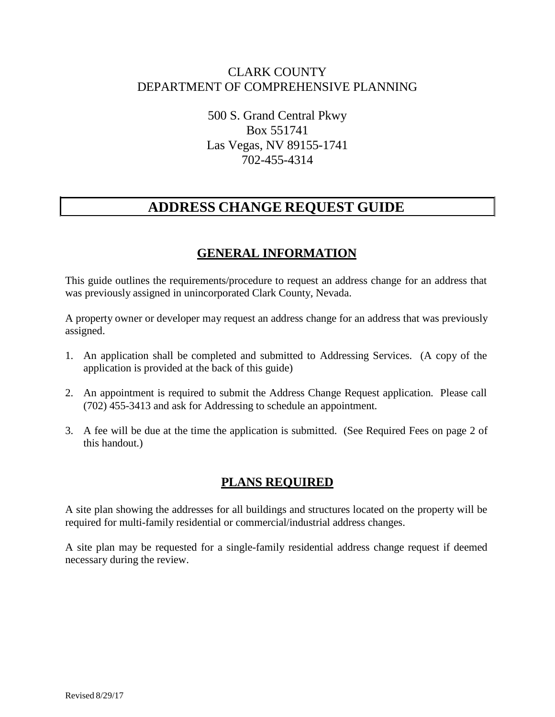## CLARK COUNTY DEPARTMENT OF COMPREHENSIVE PLANNING

500 S. Grand Central Pkwy Box 551741 Las Vegas, NV 89155-1741 702-455-4314

# **ADDRESS CHANGE REQUEST GUIDE**

## **GENERAL INFORMATION**

This guide outlines the requirements/procedure to request an address change for an address that was previously assigned in unincorporated Clark County, Nevada.

A property owner or developer may request an address change for an address that was previously assigned.

- 1. An application shall be completed and submitted to Addressing Services. (A copy of the application is provided at the back of this guide)
- 2. An appointment is required to submit the Address Change Request application. Please call (702) 455-3413 and ask for Addressing to schedule an appointment.
- 3. A fee will be due at the time the application is submitted. (See Required Fees on page 2 of this handout.)

## **PLANS REQUIRED**

A site plan showing the addresses for all buildings and structures located on the property will be required for multi-family residential or commercial/industrial address changes.

A site plan may be requested for a single-family residential address change request if deemed necessary during the review.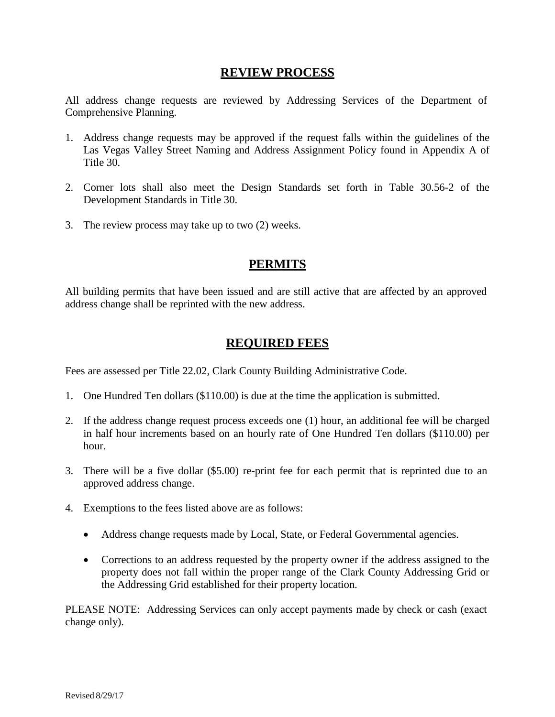### **REVIEW PROCESS**

All address change requests are reviewed by Addressing Services of the Department of Comprehensive Planning.

- 1. Address change requests may be approved if the request falls within the guidelines of the Las Vegas Valley Street Naming and Address Assignment Policy found in Appendix A of Title 30.
- 2. Corner lots shall also meet the Design Standards set forth in Table 30.56-2 of the Development Standards in Title 30.
- 3. The review process may take up to two (2) weeks.

### **PERMITS**

All building permits that have been issued and are still active that are affected by an approved address change shall be reprinted with the new address.

### **REQUIRED FEES**

Fees are assessed per Title 22.02, Clark County Building Administrative Code.

- 1. One Hundred Ten dollars (\$110.00) is due at the time the application is submitted.
- 2. If the address change request process exceeds one (1) hour, an additional fee will be charged in half hour increments based on an hourly rate of One Hundred Ten dollars (\$110.00) per hour.
- 3. There will be a five dollar (\$5.00) re-print fee for each permit that is reprinted due to an approved address change.
- 4. Exemptions to the fees listed above are as follows:
	- Address change requests made by Local, State, or Federal Governmental agencies.
	- Corrections to an address requested by the property owner if the address assigned to the property does not fall within the proper range of the Clark County Addressing Grid or the Addressing Grid established for their property location.

PLEASE NOTE: Addressing Services can only accept payments made by check or cash (exact change only).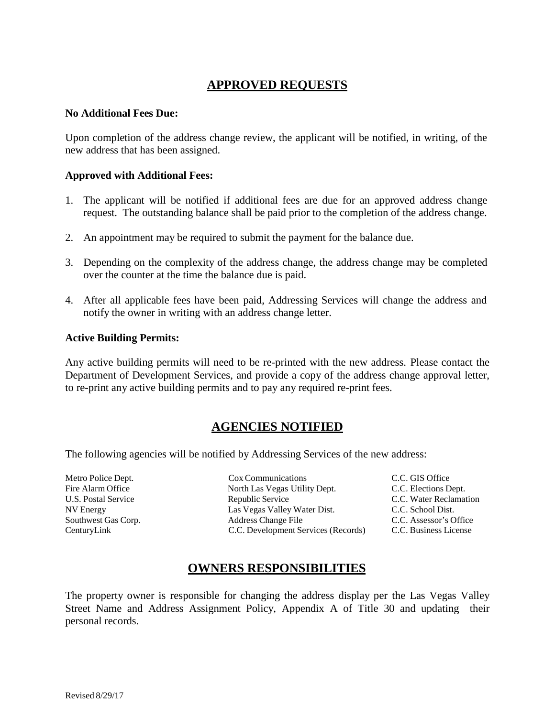## **APPROVED REQUESTS**

#### **No Additional Fees Due:**

Upon completion of the address change review, the applicant will be notified, in writing, of the new address that has been assigned.

#### **Approved with Additional Fees:**

- 1. The applicant will be notified if additional fees are due for an approved address change request. The outstanding balance shall be paid prior to the completion of the address change.
- 2. An appointment may be required to submit the payment for the balance due.
- 3. Depending on the complexity of the address change, the address change may be completed over the counter at the time the balance due is paid.
- 4. After all applicable fees have been paid, Addressing Services will change the address and notify the owner in writing with an address change letter.

#### **Active Building Permits:**

Any active building permits will need to be re-printed with the new address. Please contact the Department of Development Services, and provide a copy of the address change approval letter, to re-print any active building permits and to pay any required re-print fees.

### **AGENCIES NOTIFIED**

The following agencies will be notified by Addressing Services of the new address:

Metro Police Dept. Cox Communications C.C. GIS Office Fire Alarm Office North Las Vegas Utility Dept. C.C. Elections Dept. U.S. Postal Service Republic Service C.C. Water Reclamation NV Energy Las Vegas Valley Water Dist. C.C. School Dist. Southwest Gas Corp.<br>
C.C. Development Served C.C. Assessment C.C. Assessment Served C.C. Assessment Served C.C. Assessment Served C.C. Assessment Served C.C. Assessment Served C.C. Assessment Served C.C. Development Served C.C. Development Services (Records) C.C. Business License

### **OWNERS RESPONSIBILITIES**

The property owner is responsible for changing the address display per the Las Vegas Valley Street Name and Address Assignment Policy, Appendix A of Title 30 and updating their personal records.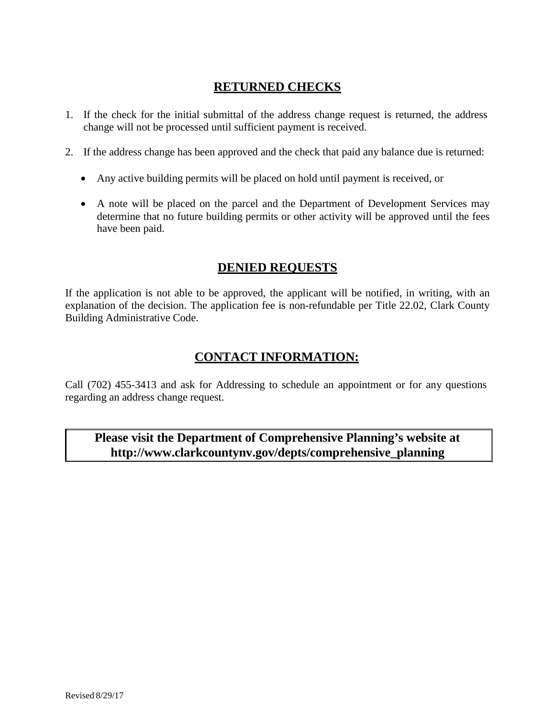## **RETURNED CHECKS**

- 1. If the check for the initial submittal of the address change request is returned, the address change will not be processed until sufficient payment is received.
- 2. If the address change has been approved and the check that paid any balance due is returned:
	- Any active building permits will be placed on hold until payment is received, or
	- A note will be placed on the parcel and the Department of Development Services may determine that no future building permits or other activity will be approved until the fees have been paid.

## **DENIED REQUESTS**

If the application is not able to be approved, the applicant will be notified, in writing, with an explanation of the decision. The application fee is non-refundable per Title 22.02, Clark County Building Administrative Code.

## **CONTACT INFORMATION:**

Call (702) 455-3413 and ask for Addressing to schedule an appointment or for any questions regarding an address change request.

## **Please visit the Department of Comprehensive Planning's website a[t](http://www.clarkcountynv.gov/depts/comprehensive_planning) [http://www.clarkcountynv.gov/depts/comprehensive\\_planning](http://www.clarkcountynv.gov/depts/comprehensive_planning)**